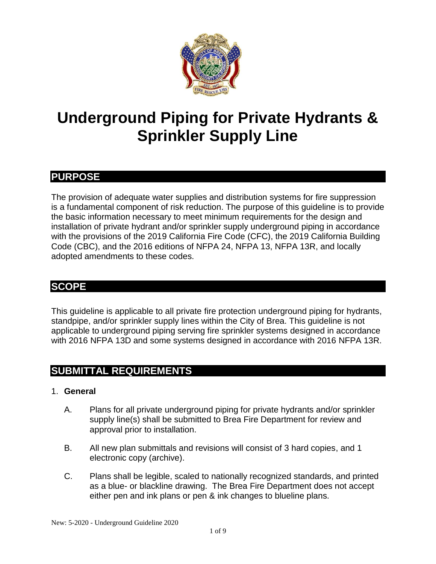

# **Underground Piping for Private Hydrants & Sprinkler Supply Line**

# **PURPOSE**

The provision of adequate water supplies and distribution systems for fire suppression is a fundamental component of risk reduction. The purpose of this guideline is to provide the basic information necessary to meet minimum requirements for the design and installation of private hydrant and/or sprinkler supply underground piping in accordance with the provisions of the 2019 California Fire Code (CFC), the 2019 California Building Code (CBC), and the 2016 editions of NFPA 24, NFPA 13, NFPA 13R, and locally adopted amendments to these codes.

# **SCOPE**

This guideline is applicable to all private fire protection underground piping for hydrants, standpipe, and/or sprinkler supply lines within the City of Brea. This guideline is not applicable to underground piping serving fire sprinkler systems designed in accordance with 2016 NFPA 13D and some systems designed in accordance with 2016 NFPA 13R.

# **SUBMITTAL REQUIREMENTS**

#### 1. **General**

- A. Plans for all private underground piping for private hydrants and/or sprinkler supply line(s) shall be submitted to Brea Fire Department for review and approval prior to installation.
- B. All new plan submittals and revisions will consist of 3 hard copies, and 1 electronic copy (archive).
- C. Plans shall be legible, scaled to nationally recognized standards, and printed as a blue- or blackline drawing. The Brea Fire Department does not accept either pen and ink plans or pen & ink changes to blueline plans.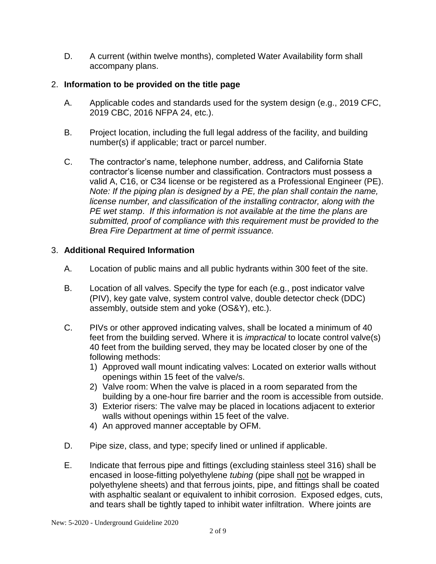D. A current (within twelve months), completed Water Availability form shall accompany plans.

## 2. **Information to be provided on the title page**

- A. Applicable codes and standards used for the system design (e.g., 2019 CFC, 2019 CBC, 2016 NFPA 24, etc.).
- B. Project location, including the full legal address of the facility, and building number(s) if applicable; tract or parcel number.
- C. The contractor's name, telephone number, address, and California State contractor's license number and classification. Contractors must possess a valid A, C16, or C34 license or be registered as a Professional Engineer (PE). *Note: If the piping plan is designed by a PE, the plan shall contain the name, license number, and classification of the installing contractor, along with the PE wet stamp*. *If this information is not available at the time the plans are submitted, proof of compliance with this requirement must be provided to the Brea Fire Department at time of permit issuance.*

## 3. **Additional Required Information**

- A. Location of public mains and all public hydrants within 300 feet of the site.
- B. Location of all valves. Specify the type for each (e.g., post indicator valve (PIV), key gate valve, system control valve, double detector check (DDC) assembly, outside stem and yoke (OS&Y), etc.).
- C. PIVs or other approved indicating valves, shall be located a minimum of 40 feet from the building served. Where it is *impractical* to locate control valve(s) 40 feet from the building served, they may be located closer by one of the following methods:
	- 1) Approved wall mount indicating valves: Located on exterior walls without openings within 15 feet of the valve/s.
	- 2) Valve room: When the valve is placed in a room separated from the building by a one-hour fire barrier and the room is accessible from outside.
	- 3) Exterior risers: The valve may be placed in locations adjacent to exterior walls without openings within 15 feet of the valve.
	- 4) An approved manner acceptable by OFM.
- D. Pipe size, class, and type; specify lined or unlined if applicable.
- E. Indicate that ferrous pipe and fittings (excluding stainless steel 316) shall be encased in loose-fitting polyethylene *tubing* (pipe shall not be wrapped in polyethylene sheets) and that ferrous joints, pipe, and fittings shall be coated with asphaltic sealant or equivalent to inhibit corrosion. Exposed edges, cuts, and tears shall be tightly taped to inhibit water infiltration. Where joints are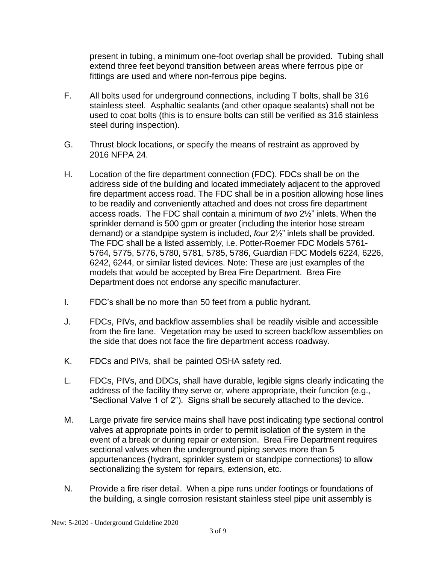present in tubing, a minimum one-foot overlap shall be provided. Tubing shall extend three feet beyond transition between areas where ferrous pipe or fittings are used and where non-ferrous pipe begins.

- F. All bolts used for underground connections, including T bolts, shall be 316 stainless steel. Asphaltic sealants (and other opaque sealants) shall not be used to coat bolts (this is to ensure bolts can still be verified as 316 stainless steel during inspection).
- G. Thrust block locations, or specify the means of restraint as approved by 2016 NFPA 24.
- H. Location of the fire department connection (FDC). FDCs shall be on the address side of the building and located immediately adjacent to the approved fire department access road. The FDC shall be in a position allowing hose lines to be readily and conveniently attached and does not cross fire department access roads. The FDC shall contain a minimum of *two* 2½" inlets. When the sprinkler demand is 500 gpm or greater (including the interior hose stream demand) or a standpipe system is included, *four* 2½" inlets shall be provided. The FDC shall be a listed assembly, i.e. Potter-Roemer FDC Models 5761- 5764, 5775, 5776, 5780, 5781, 5785, 5786, Guardian FDC Models 6224, 6226, 6242, 6244, or similar listed devices. Note: These are just examples of the models that would be accepted by Brea Fire Department. Brea Fire Department does not endorse any specific manufacturer.
- I. FDC's shall be no more than 50 feet from a public hydrant.
- J. FDCs, PIVs, and backflow assemblies shall be readily visible and accessible from the fire lane. Vegetation may be used to screen backflow assemblies on the side that does not face the fire department access roadway.
- K. FDCs and PIVs, shall be painted OSHA safety red.
- L. FDCs, PIVs, and DDCs, shall have durable, legible signs clearly indicating the address of the facility they serve or, where appropriate, their function (e.g., "Sectional Valve 1 of 2"). Signs shall be securely attached to the device.
- M. Large private fire service mains shall have post indicating type sectional control valves at appropriate points in order to permit isolation of the system in the event of a break or during repair or extension. Brea Fire Department requires sectional valves when the underground piping serves more than 5 appurtenances (hydrant, sprinkler system or standpipe connections) to allow sectionalizing the system for repairs, extension, etc.
- N. Provide a fire riser detail. When a pipe runs under footings or foundations of the building, a single corrosion resistant stainless steel pipe unit assembly is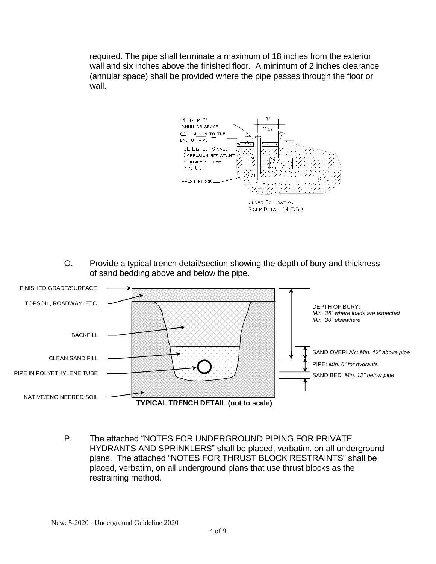required. The pipe shall terminate a maximum of 18 inches from the exterior wall and six inches above the finished floor. A minimum of 2 inches clearance (annular space) shall be provided where the pipe passes through the floor or wall.



O. Provide a typical trench detail/section showing the depth of bury and thickness of sand bedding above and below the pipe.



P. The attached "NOTES FOR UNDERGROUND PIPING FOR PRIVATE HYDRANTS AND SPRINKLERS" shall be placed, verbatim, on all underground plans. The attached "NOTES FOR THRUST BLOCK RESTRAINTS" shall be placed, verbatim, on all underground plans that use thrust blocks as the restraining method.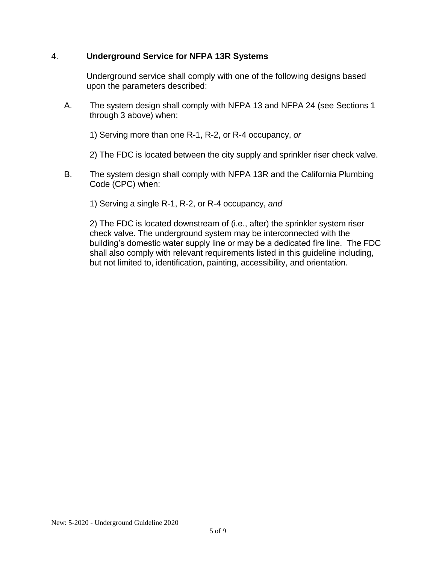#### 4. **Underground Service for NFPA 13R Systems**

Underground service shall comply with one of the following designs based upon the parameters described:

A. The system design shall comply with NFPA 13 and NFPA 24 (see Sections 1 through 3 above) when:

1) Serving more than one R-1, R-2, or R-4 occupancy, *or*

2) The FDC is located between the city supply and sprinkler riser check valve.

B. The system design shall comply with NFPA 13R and the California Plumbing Code (CPC) when:

1) Serving a single R-1, R-2, or R-4 occupancy, *and*

2) The FDC is located downstream of (i.e., after) the sprinkler system riser check valve. The underground system may be interconnected with the building's domestic water supply line or may be a dedicated fire line. The FDC shall also comply with relevant requirements listed in this guideline including, but not limited to, identification, painting, accessibility, and orientation.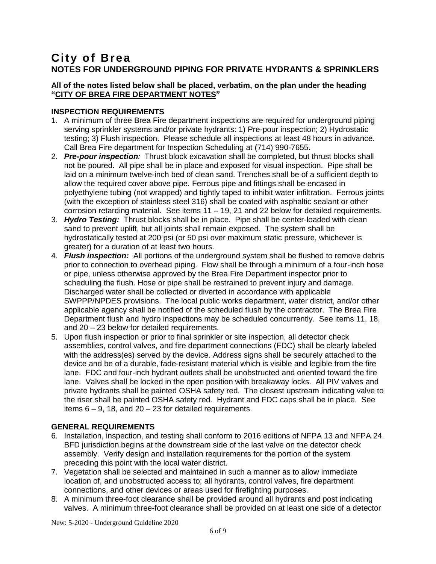## **City of Brea NOTES FOR UNDERGROUND PIPING FOR PRIVATE HYDRANTS & SPRINKLERS**

#### **All of the notes listed below shall be placed, verbatim, on the plan under the heading "CITY OF BREA FIRE DEPARTMENT NOTES"**

#### **INSPECTION REQUIREMENTS**

- 1. A minimum of three Brea Fire department inspections are required for underground piping serving sprinkler systems and/or private hydrants: 1) Pre-pour inspection; 2) Hydrostatic testing; 3) Flush inspection. Please schedule all inspections at least 48 hours in advance. Call Brea Fire department for Inspection Scheduling at (714) 990-7655.
- 2. *Pre-pour inspection:* Thrust block excavation shall be completed, but thrust blocks shall not be poured. All pipe shall be in place and exposed for visual inspection. Pipe shall be laid on a minimum twelve-inch bed of clean sand. Trenches shall be of a sufficient depth to allow the required cover above pipe. Ferrous pipe and fittings shall be encased in polyethylene tubing (not wrapped) and tightly taped to inhibit water infiltration. Ferrous joints (with the exception of stainless steel 316) shall be coated with asphaltic sealant or other corrosion retarding material. See items 11 – 19, 21 and 22 below for detailed requirements.
- 3. *Hydro Testing:* Thrust blocks shall be in place. Pipe shall be center-loaded with clean sand to prevent uplift, but all joints shall remain exposed. The system shall be hydrostatically tested at 200 psi (or 50 psi over maximum static pressure, whichever is greater) for a duration of at least two hours.
- 4. *Flush inspection:* All portions of the underground system shall be flushed to remove debris prior to connection to overhead piping. Flow shall be through a minimum of a four-inch hose or pipe, unless otherwise approved by the Brea Fire Department inspector prior to scheduling the flush. Hose or pipe shall be restrained to prevent injury and damage. Discharged water shall be collected or diverted in accordance with applicable SWPPP/NPDES provisions. The local public works department, water district, and/or other applicable agency shall be notified of the scheduled flush by the contractor. The Brea Fire Department flush and hydro inspections may be scheduled concurrently. See items 11, 18, and 20 – 23 below for detailed requirements.
- 5. Upon flush inspection or prior to final sprinkler or site inspection, all detector check assemblies, control valves, and fire department connections (FDC) shall be clearly labeled with the address(es) served by the device. Address signs shall be securely attached to the device and be of a durable, fade-resistant material which is visible and legible from the fire lane. FDC and four-inch hydrant outlets shall be unobstructed and oriented toward the fire lane. Valves shall be locked in the open position with breakaway locks. All PIV valves and private hydrants shall be painted OSHA safety red. The closest upstream indicating valve to the riser shall be painted OSHA safety red. Hydrant and FDC caps shall be in place. See items  $6 - 9$ , 18, and  $20 - 23$  for detailed requirements.

#### **GENERAL REQUIREMENTS**

- 6. Installation, inspection, and testing shall conform to 2016 editions of NFPA 13 and NFPA 24. BFD jurisdiction begins at the downstream side of the last valve on the detector check assembly. Verify design and installation requirements for the portion of the system preceding this point with the local water district.
- 7. Vegetation shall be selected and maintained in such a manner as to allow immediate location of, and unobstructed access to; all hydrants, control valves, fire department connections, and other devices or areas used for firefighting purposes.
- 8. A minimum three-foot clearance shall be provided around all hydrants and post indicating valves. A minimum three-foot clearance shall be provided on at least one side of a detector

New: 5-2020 - Underground Guideline 2020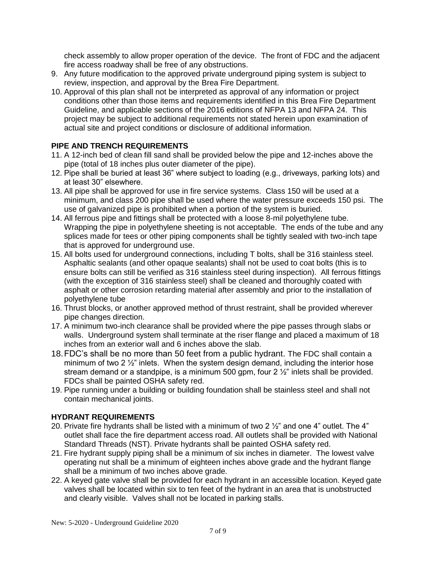check assembly to allow proper operation of the device. The front of FDC and the adjacent fire access roadway shall be free of any obstructions.

- 9. Any future modification to the approved private underground piping system is subject to review, inspection, and approval by the Brea Fire Department.
- 10. Approval of this plan shall not be interpreted as approval of any information or project conditions other than those items and requirements identified in this Brea Fire Department Guideline, and applicable sections of the 2016 editions of NFPA 13 and NFPA 24. This project may be subject to additional requirements not stated herein upon examination of actual site and project conditions or disclosure of additional information.

#### **PIPE AND TRENCH REQUIREMENTS**

- 11. A 12-inch bed of clean fill sand shall be provided below the pipe and 12-inches above the pipe (total of 18 inches plus outer diameter of the pipe).
- 12. Pipe shall be buried at least 36" where subject to loading (e.g., driveways, parking lots) and at least 30" elsewhere.
- 13. All pipe shall be approved for use in fire service systems. Class 150 will be used at a minimum, and class 200 pipe shall be used where the water pressure exceeds 150 psi. The use of galvanized pipe is prohibited when a portion of the system is buried.
- 14. All ferrous pipe and fittings shall be protected with a loose 8-mil polyethylene tube. Wrapping the pipe in polyethylene sheeting is not acceptable. The ends of the tube and any splices made for tees or other piping components shall be tightly sealed with two-inch tape that is approved for underground use.
- 15. All bolts used for underground connections, including T bolts, shall be 316 stainless steel. Asphaltic sealants (and other opaque sealants) shall not be used to coat bolts (this is to ensure bolts can still be verified as 316 stainless steel during inspection). All ferrous fittings (with the exception of 316 stainless steel) shall be cleaned and thoroughly coated with asphalt or other corrosion retarding material after assembly and prior to the installation of polyethylene tube
- 16. Thrust blocks, or another approved method of thrust restraint, shall be provided wherever pipe changes direction.
- 17. A minimum two-inch clearance shall be provided where the pipe passes through slabs or walls. Underground system shall terminate at the riser flange and placed a maximum of 18 inches from an exterior wall and 6 inches above the slab.
- 18.FDC's shall be no more than 50 feet from a public hydrant. The FDC shall contain a minimum of two 2  $\frac{1}{2}$ " inlets. When the system design demand, including the interior hose stream demand or a standpipe, is a minimum 500 gpm, four  $2\frac{1}{2}$ " inlets shall be provided. FDCs shall be painted OSHA safety red.
- 19. Pipe running under a building or building foundation shall be stainless steel and shall not contain mechanical joints.

#### **HYDRANT REQUIREMENTS**

- 20. Private fire hydrants shall be listed with a minimum of two 2 ½" and one 4" outlet. The 4" outlet shall face the fire department access road. All outlets shall be provided with National Standard Threads (NST). Private hydrants shall be painted OSHA safety red.
- 21. Fire hydrant supply piping shall be a minimum of six inches in diameter. The lowest valve operating nut shall be a minimum of eighteen inches above grade and the hydrant flange shall be a minimum of two inches above grade.
- 22. A keyed gate valve shall be provided for each hydrant in an accessible location. Keyed gate valves shall be located within six to ten feet of the hydrant in an area that is unobstructed and clearly visible. Valves shall not be located in parking stalls.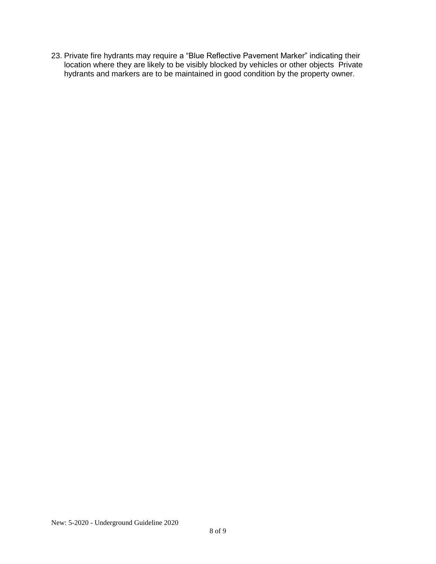23. Private fire hydrants may require a "Blue Reflective Pavement Marker" indicating their location where they are likely to be visibly blocked by vehicles or other objects Private hydrants and markers are to be maintained in good condition by the property owner.